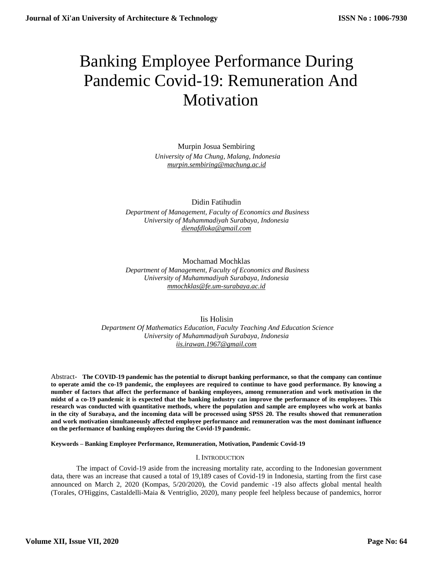# Banking Employee Performance During Pandemic Covid-19: Remuneration And Motivation

Murpin Josua Sembiring  *University of Ma Chung, Malang, Indonesia [murpin.sembiring@machung.ac.id](mailto:murpin.sembiring@machung.ac.id)*

Didin Fatihudin

 *Department of Management, Faculty of Economics and Business University of Muhammadiyah Surabaya, Indonesia [dienafdloka@gmail.com](mailto:dienafdloka@gmail.com)*

Mochamad Mochklas

 *Department of Management, Faculty of Economics and Business University of Muhammadiyah Surabaya, Indonesia [mmochklas@fe.um-surabaya.ac.id](mailto:mmochklas@fe.um-surabaya.ac.id)*

Iis Holisin  *Department Of Mathematics Education, Faculty Teaching And Education Science University of Muhammadiyah Surabaya, Indonesia [iis.irawan.1967@gmail.com](mailto:iis.irawan.1967@gmail.com)*

Abstract- **The COVID-19 pandemic has the potential to disrupt banking performance, so that the company can continue to operate amid the co-19 pandemic, the employees are required to continue to have good performance. By knowing a number of factors that affect the performance of banking employees, among remuneration and work motivation in the midst of a co-19 pandemic it is expected that the banking industry can improve the performance of its employees. This research was conducted with quantitative methods, where the population and sample are employees who work at banks in the city of Surabaya, and the incoming data will be processed using SPSS 20. The results showed that remuneration and work motivation simultaneously affected employee performance and remuneration was the most dominant influence on the performance of banking employees during the Covid-19 pandemic.**

**Keywords – Banking Employee Performance, Remuneration, Motivation, Pandemic Covid-19**

I. INTRODUCTION

The impact of Covid-19 aside from the increasing mortality rate, according to the Indonesian government data, there was an increase that caused a total of 19,189 cases of Covid-19 in Indonesia, starting from the first case announced on March 2, 2020 (Kompas, 5/20/2020), the Covid pandemic -19 also affects global mental health (Torales, O'Higgins, Castaldelli-Maia & Ventriglio, 2020), many people feel helpless because of pandemics, horror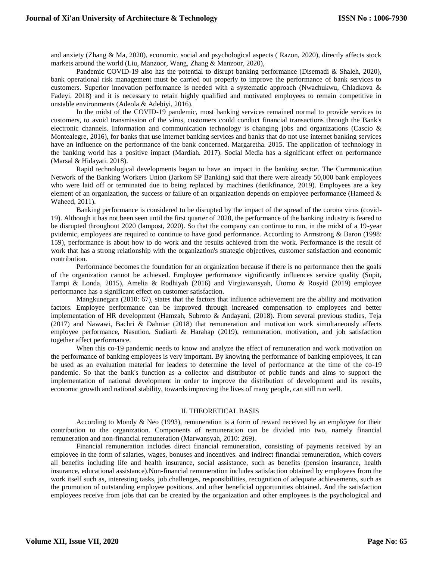and anxiety (Zhang & Ma, 2020), economic, social and psychological aspects ( Razon, 2020), directly affects stock markets around the world (Liu, Manzoor, Wang, Zhang & Manzoor, 2020),

Pandemic COVID-19 also has the potential to disrupt banking performance (Disemadi & Shaleh, 2020), bank operational risk management must be carried out properly to improve the performance of bank services to customers. Superior innovation performance is needed with a systematic approach (Nwachukwu, Chladkova & Fadeyi. 2018) and it is necessary to retain highly qualified and motivated employees to remain competitive in unstable environments (Adeola & Adebiyi, 2016).

In the midst of the COVID-19 pandemic, most banking services remained normal to provide services to customers, to avoid transmission of the virus, customers could conduct financial transactions through the Bank's electronic channels. Information and communication technology is changing jobs and organizations (Cascio & Montealegre, 2016), for banks that use internet banking services and banks that do not use internet banking services have an influence on the performance of the bank concerned. Margaretha. 2015. The application of technology in the banking world has a positive impact (Mardiah. 2017). Social Media has a significant effect on performance (Marsal & Hidayati. 2018).

Rapid technological developments began to have an impact in the banking sector. The Communication Network of the Banking Workers Union (Jarkom SP Banking) said that there were already 50,000 bank employees who were laid off or terminated due to being replaced by machines (detikfinance, 2019). Employees are a key element of an organization, the success or failure of an organization depends on employee performance (Hameed  $\&$ Waheed, 2011).

Banking performance is considered to be disrupted by the impact of the spread of the corona virus (covid-19). Although it has not been seen until the first quarter of 2020, the performance of the banking industry is feared to be disrupted throughout 2020 (lampost, 2020). So that the company can continue to run, in the midst of a 19-year pvidemic, employees are required to continue to have good performance. According to Armstrong & Baron (1998: 159), performance is about how to do work and the results achieved from the work. Performance is the result of work that has a strong relationship with the organization's strategic objectives, customer satisfaction and economic contribution.

Performance becomes the foundation for an organization because if there is no performance then the goals of the organization cannot be achieved. Employee performance significantly influences service quality (Supit, Tampi & Londa, 2015), Amelia & Rodhiyah (2016) and Virgiawansyah, Utomo & Rosyid (2019) employee performance has a significant effect on customer satisfaction.

Mangkunegara (2010: 67), states that the factors that influence achievement are the ability and motivation factors. Employee performance can be improved through increased compensation to employees and better implementation of HR development (Hamzah, Subroto & Andayani, (2018). From several previous studies, Teja (2017) and Nawawi, Bachri & Dahniar (2018) that remuneration and motivation work simultaneously affects employee performance, Nasution, Sudiarti & Harahap (2019), remuneration, motivation, and job satisfaction together affect performance.

When this co-19 pandemic needs to know and analyze the effect of remuneration and work motivation on the performance of banking employees is very important. By knowing the performance of banking employees, it can be used as an evaluation material for leaders to determine the level of performance at the time of the co-19 pandemic. So that the bank's function as a collector and distributor of public funds and aims to support the implementation of national development in order to improve the distribution of development and its results, economic growth and national stability, towards improving the lives of many people, can still run well.

#### II. THEORETICAL BASIS

According to Mondy  $\&$  Neo (1993), remuneration is a form of reward received by an employee for their contribution to the organization. Components of remuneration can be divided into two, namely financial remuneration and non-financial remuneration (Marwansyah, 2010: 269).

Financial remuneration includes direct financial remuneration, consisting of payments received by an employee in the form of salaries, wages, bonuses and incentives. and indirect financial remuneration, which covers all benefits including life and health insurance, social assistance, such as benefits (pension insurance, health insurance, educational assistance).Non-financial remuneration includes satisfaction obtained by employees from the work itself such as, interesting tasks, job challenges, responsibilities, recognition of adequate achievements, such as the promotion of outstanding employee positions, and other beneficial opportunities obtained. And the satisfaction employees receive from jobs that can be created by the organization and other employees is the psychological and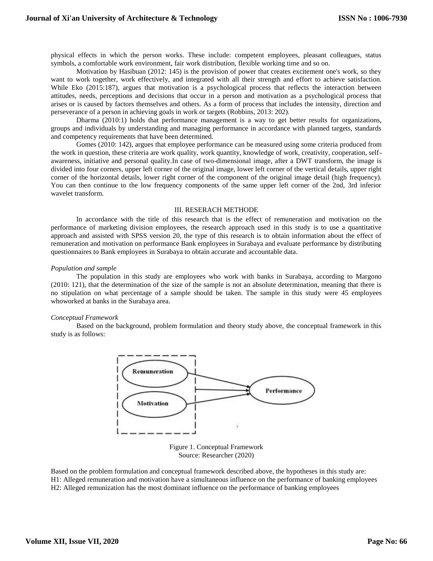physical effects in which the person works. These include: competent employees, pleasant colleagues, status symbols, a comfortable work environment, fair work distribution, flexible working time and so on.

Motivation by Hasibuan (2012: 145) is the provision of power that creates excitement one's work, so they want to work together, work effectively, and integrated with all their strength and effort to achieve satisfaction. While Eko (2015:187), argues that motivation is a psychological process that reflects the interaction between attitudes, needs, perceptions and decisions that occur in a person and motivation as a psychological process that arises or is caused by factors themselves and others. As a form of process that includes the intensity, direction and perseverance of a person in achieving goals in work or targets (Robbins, 2013: 202).

Dharma (2010:1) holds that performance management is a way to get better results for organizations, groups and individuals by understanding and managing performance in accordance with planned targets, standards and competency requirements that have been determined.

Gomes (2010: 142), argues that employee performance can be measured using some criteria produced from the work in question, these criteria are work quality, work quantity, knowledge of work, creativity, cooperation, selfawareness, initiative and personal quality.In case of two-dimensional image, after a DWT transform, the image is divided into four corners, upper left corner of the original image, lower left corner of the vertical details, upper right corner of the horizontal details, lower right corner of the component of the original image detail (high frequency). You can then continue to the low frequency components of the same upper left corner of the 2nd, 3rd inferior wavelet transform.

## III. RESERACH METHODE

In accordance with the title of this research that is the effect of remuneration and motivation on the performance of marketing division employees, the research approach used in this study is to use a quantitative approach and assisted with SPSS version 20, the type of this research is to obtain information about the effect of remuneration and motivation on performance Bank employees in Surabaya and evaluate performance by distributing questionnaires to Bank employees in Surabaya to obtain accurate and accountable data.

#### *Population and sample*

The population in this study are employees who work with banks in Surabaya, according to Margono (2010: 121), that the determination of the size of the sample is not an absolute determination, meaning that there is no stipulation on what percentage of a sample should be taken. The sample in this study were 45 employees whoworked at banks in the Surabaya area.

#### *Conceptual Framework*

Based on the background, problem formulation and theory study above, the conceptual framework in this study is as follows:



Figure 1. Conceptual Framework Source: Researcher (2020)

Based on the problem formulation and conceptual framework described above, the hypotheses in this study are: H1: Alleged remuneration and motivation have a simultaneous influence on the performance of banking employees H2: Alleged remunization has the most dominant influence on the performance of banking employees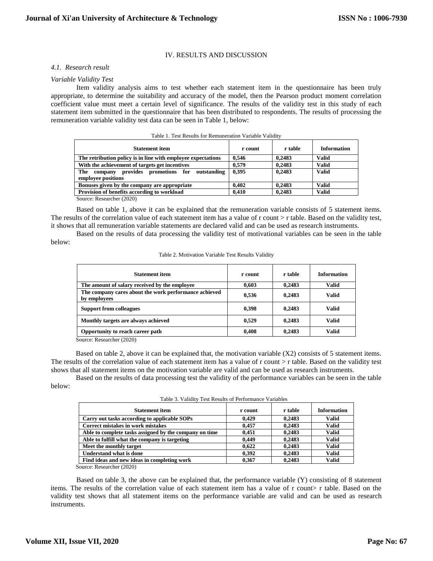# IV. RESULTS AND DISCUSSION

#### *4.1. Research result*

#### *Variable Validity Test*

Item validity analysis aims to test whether each statement item in the questionnaire has been truly appropriate, to determine the suitability and accuracy of the model, then the Pearson product moment correlation coefficient value must meet a certain level of significance. The results of the validity test in this study of each statement item submitted in the questionnaire that has been distributed to respondents. The results of processing the remuneration variable validity test data can be seen in Table 1, below:

| TROIG I TOO INGURIG TOI INGIIRIIGIRIGI TRIIROID TRIINIE      |         |         |                    |
|--------------------------------------------------------------|---------|---------|--------------------|
| <b>Statement item</b>                                        | r count | r table | <b>Information</b> |
| The retribution policy is in line with employee expectations | 0.546   | 0.2483  | Valid              |
| With the achievement of targets get incentives               | 0.579   | 0.2483  | Valid              |
| provides promotions for outstanding<br>The company           | 0.395   | 0.2483  | <b>Valid</b>       |
| employee positions                                           |         |         |                    |
| Bonuses given by the company are appropriate                 | 0.402   | 0.2483  | Valid              |
| Provision of benefits according to workload                  | 0.410   | 0.2483  | Valid              |
|                                                              |         |         |                    |

Table 1. Test Results for Remuneration Variable Validity

Source: Researcher (2020)

Based on table 1, above it can be explained that the remuneration variable consists of 5 statement items. The results of the correlation value of each statement item has a value of r count > r table. Based on the validity test, it shows that all remuneration variable statements are declared valid and can be used as research instruments.

Based on the results of data processing the validity test of motivational variables can be seen in the table below:

| <b>Statement item</b>                                                 | r count | r table | <b>Information</b> |
|-----------------------------------------------------------------------|---------|---------|--------------------|
| The amount of salary received by the employee                         | 0.603   | 0,2483  | Valid              |
| The company cares about the work performance achieved<br>by employees | 0,536   | 0,2483  | Valid              |
| <b>Support from colleagues</b>                                        | 0,398   | 0,2483  | Valid              |
| Monthly targets are always achieved                                   | 0.529   | 0,2483  | Valid              |
| Opportunity to reach career path                                      | 0,408   | 0,2483  | <b>Valid</b>       |

Table 2. Motivation Variable Test Results Validity

Source: Researcher (2020)

Based on table 2, above it can be explained that, the motivation variable (X2) consists of 5 statement items. The results of the correlation value of each statement item has a value of r count > r table. Based on the validity test shows that all statement items on the motivation variable are valid and can be used as research instruments.

Based on the results of data processing test the validity of the performance variables can be seen in the table below:

| Table 3. Validity Test Results of Performance Variables |  |
|---------------------------------------------------------|--|
|---------------------------------------------------------|--|

| <b>Statement item</b>                                  | r count | r table | <b>Information</b> |
|--------------------------------------------------------|---------|---------|--------------------|
| Carry out tasks according to applicable SOPs           | 0.429   | 0.2483  | <b>Valid</b>       |
| Correct mistakes in work mistakes                      | 0.457   | 0.2483  | <b>Valid</b>       |
| Able to complete tasks assigned by the company on time | 0.451   | 0,2483  | <b>Valid</b>       |
| Able to fulfill what the company is targeting          | 0.449   | 0.2483  | <b>Valid</b>       |
| Meet the monthly target                                | 0.622   | 0.2483  | <b>Valid</b>       |
| <b>Understand what is done</b>                         | 0.392   | 0.2483  | <b>Valid</b>       |
| Find ideas and new ideas in completing work            | 0.367   | 0.2483  | <b>Valid</b>       |

Source: Researcher (2020)

Based on table 3, the above can be explained that, the performance variable (Y) consisting of 8 statement items. The results of the correlation value of each statement item has a value of r count> r table. Based on the validity test shows that all statement items on the performance variable are valid and can be used as research instruments.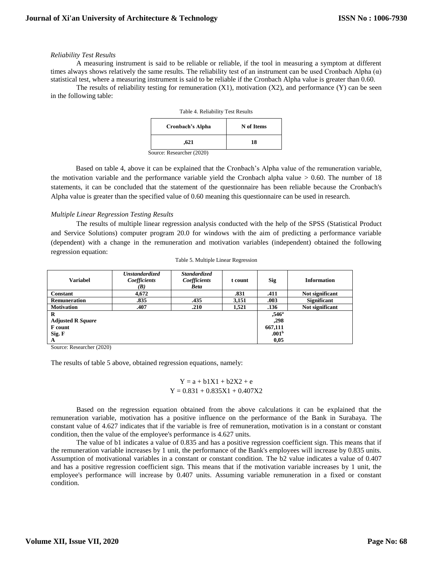## *Reliability Test Results*

A measuring instrument is said to be reliable or reliable, if the tool in measuring a symptom at different times always shows relatively the same results. The reliability test of an instrument can be used Cronbach Alpha  $(\alpha)$ statistical test, where a measuring instrument is said to be reliable if the Cronbach Alpha value is greater than 0.60.

The results of reliability testing for remuneration  $(X1)$ , motivation  $(X2)$ , and performance  $(Y)$  can be seen in the following table:

| Table 4. Reliability Test Results |            |  |
|-----------------------------------|------------|--|
| Cronbach's Alpha                  | N of Items |  |
| .621                              | 18         |  |
| Source: Researcher (2020)         |            |  |

Based on table 4, above it can be explained that the Cronbach's Alpha value of the remuneration variable, the motivation variable and the performance variable yield the Cronbach alpha value  $> 0.60$ . The number of 18 statements, it can be concluded that the statement of the questionnaire has been reliable because the Cronbach's Alpha value is greater than the specified value of 0.60 meaning this questionnaire can be used in research.

## *Multiple Linear Regression Testing Results*

The results of multiple linear regression analysis conducted with the help of the SPSS (Statistical Product and Service Solutions) computer program 20.0 for windows with the aim of predicting a performance variable (dependent) with a change in the remuneration and motivation variables (independent) obtained the following regression equation:

| <b>Variabel</b>          | <b>Unstandardized</b><br>Coefficients<br>(B) | <b>Standardized</b><br>Coefficients<br><b>Beta</b> | t count | <b>Sig</b>        | <b>Information</b> |
|--------------------------|----------------------------------------------|----------------------------------------------------|---------|-------------------|--------------------|
| <b>Constant</b>          | 4,672                                        |                                                    | .831    | .411              | Not significant    |
| <b>Remuneration</b>      | .835                                         | .435                                               | 3,151   | .003              | <b>Significant</b> |
| <b>Motivation</b>        | .407                                         | .210                                               | 1,521   | .136              | Not significant    |
| R                        |                                              |                                                    |         | $,546^{\circ}$    |                    |
| <b>Adjusted R Square</b> |                                              |                                                    |         | .298              |                    |
| <b>F</b> count           |                                              |                                                    |         | 667,111           |                    |
| Sig. F                   |                                              |                                                    |         | .001 <sup>b</sup> |                    |
| A                        |                                              |                                                    |         | 0,05              |                    |

Source: Researcher (2020)

The results of table 5 above, obtained regression equations, namely:

$$
Y = a + b1X1 + b2X2 + e
$$
  
 
$$
Y = 0.831 + 0.835X1 + 0.407X2
$$

Based on the regression equation obtained from the above calculations it can be explained that the remuneration variable, motivation has a positive influence on the performance of the Bank in Surabaya. The constant value of 4.627 indicates that if the variable is free of remuneration, motivation is in a constant or constant condition, then the value of the employee's performance is 4.627 units.

The value of b1 indicates a value of 0.835 and has a positive regression coefficient sign. This means that if the remuneration variable increases by 1 unit, the performance of the Bank's employees will increase by 0.835 units. Assumption of motivational variables in a constant or constant condition. The b2 value indicates a value of 0.407 and has a positive regression coefficient sign. This means that if the motivation variable increases by 1 unit, the employee's performance will increase by 0.407 units. Assuming variable remuneration in a fixed or constant condition.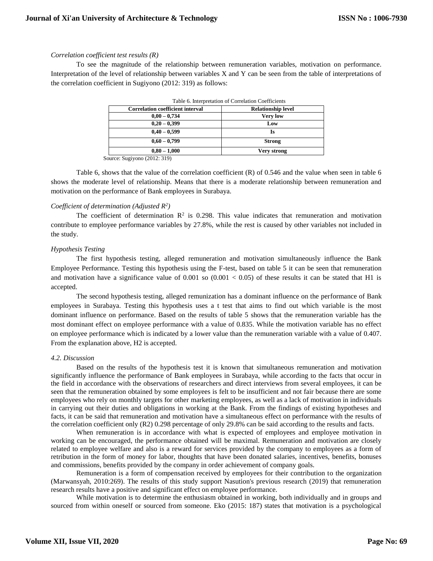# *Correlation coefficient test results (R)*

To see the magnitude of the relationship between remuneration variables, motivation on performance. Interpretation of the level of relationship between variables X and Y can be seen from the table of interpretations of the correlation coefficient in Sugiyono (2012: 319) as follows:

| rable of interpretation of Correlation Coefficients |                           |  |
|-----------------------------------------------------|---------------------------|--|
| <b>Correlation coefficient interval</b>             | <b>Relationship level</b> |  |
| $0,00 - 0,734$                                      | <b>Very low</b>           |  |
| $0,20-0,399$                                        | Low                       |  |
| $0,40-0,599$                                        | Is                        |  |
| $0,60-0,799$                                        | <b>Strong</b>             |  |
| $0.80 - 1.000$                                      | Very strong               |  |

Table 6. Interpretation of Correlation Coefficients

Source: Sugiyono (2012: 319)

Table 6, shows that the value of the correlation coefficient (R) of 0.546 and the value when seen in table 6 shows the moderate level of relationship. Means that there is a moderate relationship between remuneration and motivation on the performance of Bank employees in Surabaya.

## *Coefficient of determination (Adjusted R<sup>2</sup> )*

The coefficient of determination  $\mathbb{R}^2$  is 0.298. This value indicates that remuneration and motivation contribute to employee performance variables by 27.8%, while the rest is caused by other variables not included in the study.

## *Hypothesis Testing*

The first hypothesis testing, alleged remuneration and motivation simultaneously influence the Bank Employee Performance. Testing this hypothesis using the F-test, based on table 5 it can be seen that remuneration and motivation have a significance value of 0.001 so  $(0.001 < 0.05)$  of these results it can be stated that H1 is accepted.

The second hypothesis testing, alleged remunization has a dominant influence on the performance of Bank employees in Surabaya. Testing this hypothesis uses a t test that aims to find out which variable is the most dominant influence on performance. Based on the results of table 5 shows that the remuneration variable has the most dominant effect on employee performance with a value of 0.835. While the motivation variable has no effect on employee performance which is indicated by a lower value than the remuneration variable with a value of 0.407. From the explanation above, H2 is accepted.

#### *4.2. Discussion*

Based on the results of the hypothesis test it is known that simultaneous remuneration and motivation significantly influence the performance of Bank employees in Surabaya, while according to the facts that occur in the field in accordance with the observations of researchers and direct interviews from several employees, it can be seen that the remuneration obtained by some employees is felt to be insufficient and not fair because there are some employees who rely on monthly targets for other marketing employees, as well as a lack of motivation in individuals in carrying out their duties and obligations in working at the Bank. From the findings of existing hypotheses and facts, it can be said that remuneration and motivation have a simultaneous effect on performance with the results of the correlation coefficient only (R2) 0.298 percentage of only 29.8% can be said according to the results and facts.

When remuneration is in accordance with what is expected of employees and employee motivation in working can be encouraged, the performance obtained will be maximal. Remuneration and motivation are closely related to employee welfare and also is a reward for services provided by the company to employees as a form of retribution in the form of money for labor, thoughts that have been donated salaries, incentives, benefits, bonuses and commissions, benefits provided by the company in order achievement of company goals.

Remuneration is a form of compensation received by employees for their contribution to the organization (Marwansyah, 2010:269). The results of this study support Nasution's previous research (2019) that remuneration research results have a positive and significant effect on employee performance.

While motivation is to determine the enthusiasm obtained in working, both individually and in groups and sourced from within oneself or sourced from someone. Eko (2015: 187) states that motivation is a psychological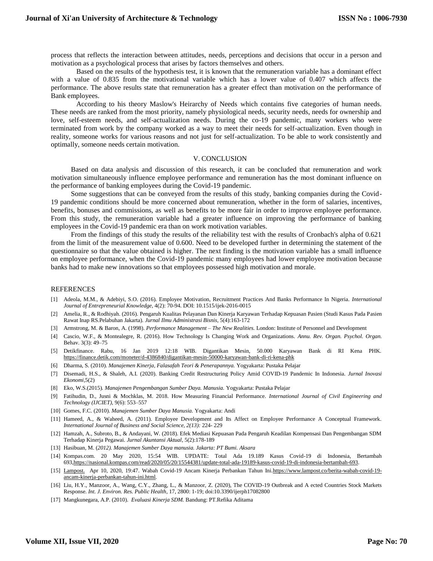process that reflects the interaction between attitudes, needs, perceptions and decisions that occur in a person and motivation as a psychological process that arises by factors themselves and others.

Based on the results of the hypothesis test, it is known that the remuneration variable has a dominant effect with a value of 0.835 from the motivational variable which has a lower value of 0.407 which affects the performance. The above results state that remuneration has a greater effect than motivation on the performance of Bank employees.

According to his theory Maslow's Heirarchy of Needs which contains five categories of human needs. These needs are ranked from the most priority, namely physiological needs, security needs, needs for ownership and love, self-esteem needs, and self-actualization needs. During the co-19 pandemic, many workers who were terminated from work by the company worked as a way to meet their needs for self-actualization. Even though in reality, someone works for various reasons and not just for self-actualization. To be able to work consistently and optimally, someone needs certain motivation.

#### V. CONCLUSION

Based on data analysis and discussion of this research, it can be concluded that remuneration and work motivation simultaneously influence employee performance and remuneration has the most dominant influence on the performance of banking employees during the Covid-19 pandemic.

Some suggestions that can be conveyed from the results of this study, banking companies during the Covid-19 pandemic conditions should be more concerned about remuneration, whether in the form of salaries, incentives, benefits, bonuses and commissions, as well as benefits to be more fair in order to improve employee performance. From this study, the remuneration variable had a greater influence on improving the performance of banking employees in the Covid-19 pandemic era than on work motivation variables.

From the findings of this study the results of the reliability test with the results of Cronbach's alpha of 0.621 from the limit of the measurement value of 0.600. Need to be developed further in determining the statement of the questionnaire so that the value obtained is higher. The next finding is the motivation variable has a small influence on employee performance, when the Covid-19 pandemic many employees had lower employee motivation because banks had to make new innovations so that employees possessed high motivation and morale.

#### REFERENCES

- [1] Adeola, M.M., & Adebiyi, S.O. (2016). Employee Motivation, Recruitment Practices And Banks Performance In Nigeria. *International Journal of Entrepreneurial Knowledge,* 4(2): 70-94. DOI: 10.1515/ijek-2016-0015
- [2] Amelia, R., & Rodhiyah. (2016). Pengaruh Kualitas Pelayanan Dan Kinerja Karyawan Terhadap Kepuasan Pasien (Studi Kasus Pada Pasien Rawat Inap RS.Pelabuhan Jakarta). *Jurnal Ilmu Administrasi Bisnis*, 5(4):163-172
- [3] Armstrong, M. & Baron, A. (1998). *Performance Management – The New Realities.* London: Institute of Personnel and Development
- [4] Cascio, W.F., & Montealegre, R. (2016). How Technology Is Changing Work and Organizations. *Annu. Rev. Organ. Psychol. Organ.* Behav. 3(3): 49–75
- [5] Detikfinance. Rabu, 16 Jan 2019 12:18 WIB. Digantikan Mesin, 50.000 Karyawan Bank di RI Kena PHK. <https://finance.detik.com/moneter/d-4386840/digantikan-mesin-50000-karyawan-bank-di-ri-kena-phk>
- [6] Dharma, S. (2010). *Manajemen Kinerja, Falasafah Teori & Penerapannya.* Yogyakarta: Pustaka Pelajar
- [7] Disemadi, H.S., & Shaleh, A.I. (2020). Banking Credit Restructuring Policy Amid COVID-19 Pandemic In Indonesia. *Jurnal Inovasi Ekonomi,*5(2)
- [8] Eko, W.S.(2015)*. Manajemen Pengembangan Sumber Daya. Manusia.* Yogyakarta: Pustaka Pelajar
- [9] Fatihudin, D., Jusni & Mochklas, M. 2018. How Measuring Financial Performance. *International Journal of Civil Engineering and Technology (IJCIET),* 9(6): 553–557
- [10] Gomes, F.C. (2010). *Manajemen Sumber Daya Manusia.* Yogyakarta: Andi
- [11] Hameed, A., & Waheed, A. (2011). Employee Development and Its Affect on Employee Performance A Conceptual Framework. *International Journal of Business and Social Science, 2(13):* 224- 229
- [12] Hamzah, A., Subroto, B., & Andayani, W. (2018). Efek Mediasi Kepuasan Pada Pengaruh Keadilan Kompensasi Dan Pengembangan SDM Terhadap Kinerja Pegawai. *Jurnal Akuntansi Aktual*, 5(2):178-189
- [13] Hasibuan*,* M. (*2012). Manajemen Sumber Daya manusia. Jakarta: PT Bumi. Aksara*
- [14] Kompas.com. 20 May 2020, 15:54 WIB. UPDATE: Total Ada 19.189 Kasus Covid-19 di Indonesia, Bertambah 69[3,https://nasional.kompas.com/read/2020/05/20/15544381/update-total-ada-19189-kasus-covid-19-di-indonesia-bertambah-693.](https://nasional.kompas.com/read/2020/05/20/15544381/update-total-ada-19189-kasus-covid-19-di-indonesia-bertambah-693)
- [15] [Lampost.](https://www.lampost.co/berita-wabah-covid-19-ancam-kinerja-perbankan-tahun-ini.html) Apr 10, 2020, 19:47. Wabah Covid-19 Ancam Kinerja Perbankan Tahun Ini[.https://www.lampost.co/berita-wabah-covid-19](https://www.lampost.co/berita-wabah-covid-19-ancam-kinerja-perbankan-tahun-ini.html) [ancam-kinerja-perbankan-tahun-ini.html.](https://www.lampost.co/berita-wabah-covid-19-ancam-kinerja-perbankan-tahun-ini.html)
- [16] Liu, H.Y., Manzoor, A., Wang, C.Y., Zhang, L., & Manzoor, Z. (2020), The COVID-19 Outbreak and A ected Countries Stock Markets Response. *Int. J. Environ. Res. Public Health*, 17, 2800: 1-19; doi:10.3390/ijerph17082800
- [17] Mangkunegara, A.P. (2010). *Evaluasi Kinerja SDM.* Bandung: PT.Refika Aditama